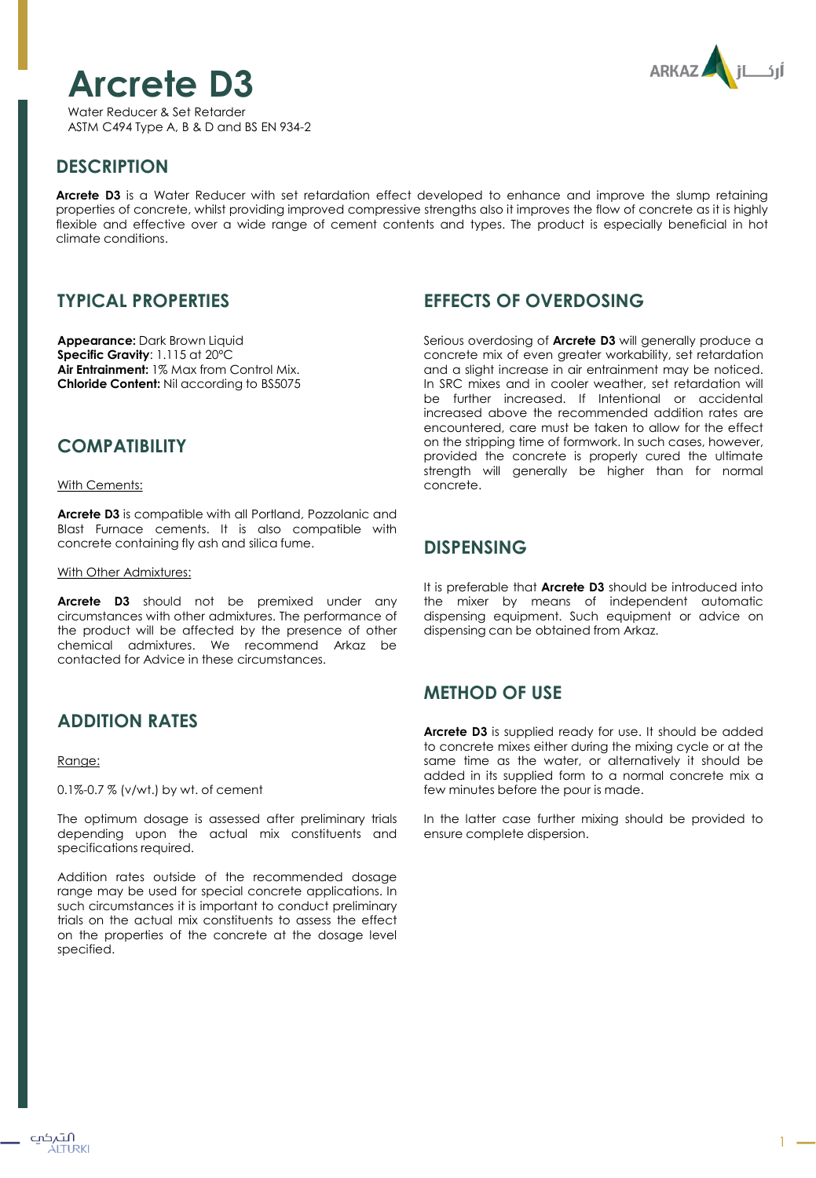# **Arcrete D3**





# **DESCRIPTION**

**Arcrete D3** is a Water Reducer with set retardation effect developed to enhance and improve the slump retaining properties of concrete, whilst providing improved compressive strengths also it improves the flow of concrete as it is highly flexible and effective over a wide range of cement contents and types. The product is especially beneficial in hot climate conditions.

# **TYPICAL PROPERTIES**

**Appearance:** Dark Brown Liquid **Specific Gravity**: 1.115 at 20ºC **Air Entrainment:** 1% Max from Control Mix. **Chloride Content:** Nil according to BS5075

## **COMPATIBILITY**

With Cements:

**Arcrete D3** is compatible with all Portland, Pozzolanic and Blast Furnace cements. It is also compatible with concrete containing fly ash and silica fume.

#### With Other Admixtures:

**Arcrete D3** should not be premixed under any circumstances with other admixtures. The performance of the product will be affected by the presence of other chemical admixtures. We recommend Arkaz be contacted for Advice in these circumstances.

# **ADDITION RATES**

#### Range:

0.1%-0.7 % (v/wt.) by wt. of cement

The optimum dosage is assessed after preliminary trials depending upon the actual mix constituents and specifications required.

Addition rates outside of the recommended dosage range may be used for special concrete applications. In such circumstances it is important to conduct preliminary trials on the actual mix constituents to assess the effect on the properties of the concrete at the dosage level specified.

# **EFFECTS OF OVERDOSING**

Serious overdosing of **Arcrete D3** will generally produce a concrete mix of even greater workability, set retardation and a slight increase in air entrainment may be noticed. In SRC mixes and in cooler weather, set retardation will be further increased. If Intentional or accidental increased above the recommended addition rates are encountered, care must be taken to allow for the effect on the stripping time of formwork. In such cases, however, provided the concrete is properly cured the ultimate strength will generally be higher than for normal concrete.

### **DISPENSING**

It is preferable that **Arcrete D3** should be introduced into the mixer by means of independent automatic dispensing equipment. Such equipment or advice on dispensing can be obtained from Arkaz.

# **METHOD OF USE**

**Arcrete D3** is supplied ready for use. It should be added to concrete mixes either during the mixing cycle or at the same time as the water, or alternatively it should be added in its supplied form to a normal concrete mix a few minutes before the pour is made.

In the latter case further mixing should be provided to ensure complete dispersion.